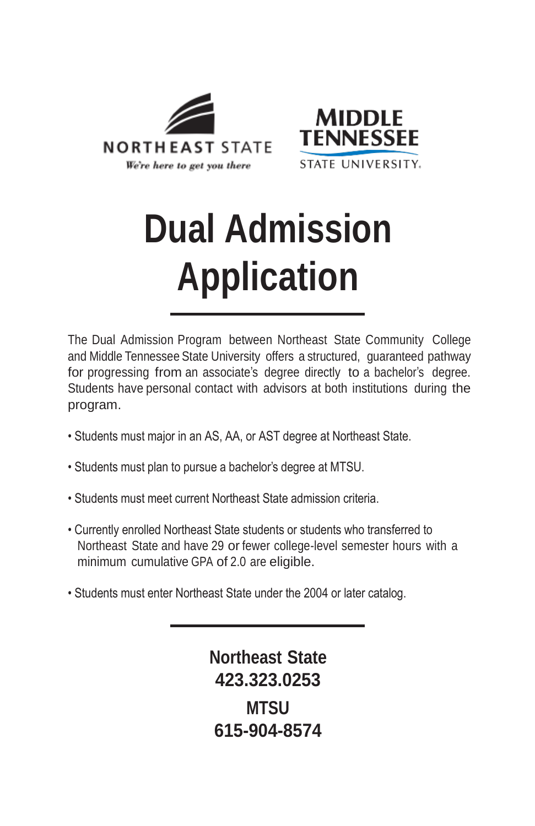



# **Dual Admission Application**

The Dual Admission Program between Northeast State Community College and Middle Tennessee State University offers a structured, guaranteed pathway for progressing from an associate's degree directly to a bachelor's degree. Students have personal contact with advisors at both institutions during the program.

- Students must major in an AS, AA, or AST degree at Northeast State.
- Students must plan to pursue a bachelor's degree at MTSU.
- Students must meet current Northeast State admission criteria.
- Currently enrolled Northeast State students or students who transferred to Northeast State and have 29 or fewer college-level semester hours with a minimum cumulative GPA of 2.0 are eligible.
- Students must enter Northeast State under the 2004 or later catalog.

**Northeast State 423.323.0253 MTSU 615-904-8574**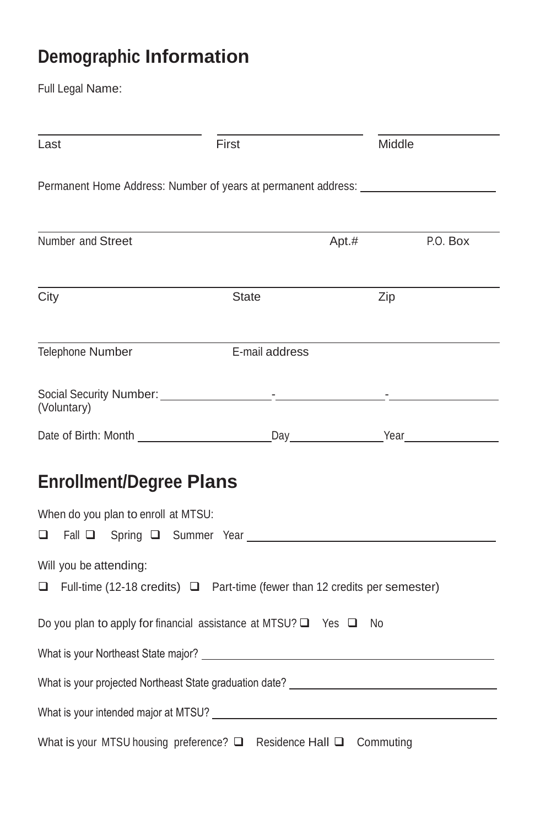## **Demographic Information**

Full Legal Name:

| Last                                                                                                             | First<br>Middle |       |          |  |
|------------------------------------------------------------------------------------------------------------------|-----------------|-------|----------|--|
| Permanent Home Address: Number of years at permanent address: __________________                                 |                 |       |          |  |
| Number and Street                                                                                                |                 | Apt.# | P.O. Box |  |
| City                                                                                                             | <b>State</b>    | Zip   |          |  |
| Telephone Number                                                                                                 | E-mail address  |       |          |  |
| (Voluntary)                                                                                                      |                 |       |          |  |
|                                                                                                                  |                 |       |          |  |
| <b>Enrollment/Degree Plans</b>                                                                                   |                 |       |          |  |
| When do you plan to enroll at MTSU:                                                                              |                 |       |          |  |
| Will you be attending:<br>$\Box$ Full-time (12-18 credits) $\Box$ Part-time (fewer than 12 credits per semester) |                 |       |          |  |
| Do you plan to apply for financial assistance at MTSU? □ Yes □ No                                                |                 |       |          |  |
| What is your Northeast State major?                                                                              |                 |       |          |  |
|                                                                                                                  |                 |       |          |  |
| What is your intended major at MTSU?                                                                             |                 |       |          |  |
| What is your MTSU housing preference? Q Residence Hall Q Commuting                                               |                 |       |          |  |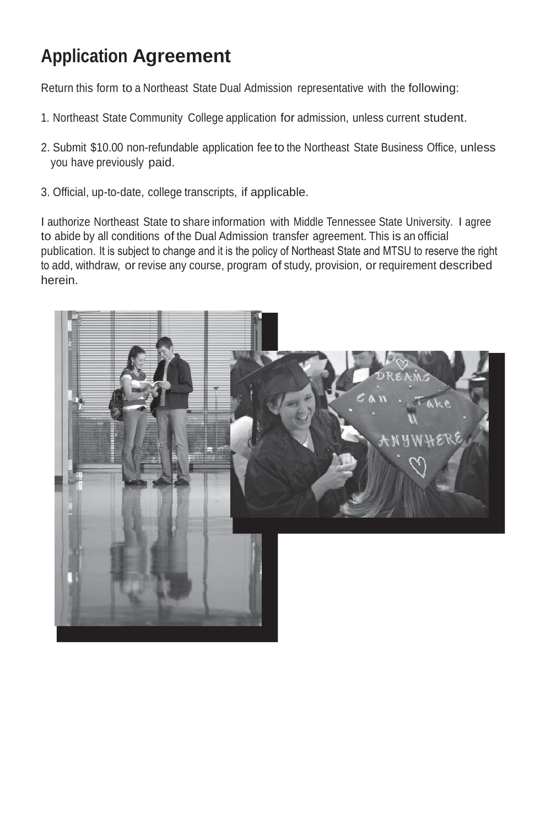## **Application Agreement**

Return this form to a Northeast State Dual Admission representative with the following:

- 1. Northeast State Community College application for admission, unless current student.
- 2. Submit \$10.00 non-refundable application fee to the Northeast State Business Office, unless you have previously paid.
- 3. Official, up-to-date, college transcripts, if applicable.

I authorize Northeast State to share information with Middle Tennessee State University. I agree to abide by all conditions of the Dual Admission transfer agreement. This is an official publication. It is subject to change and it is the policy of Northeast State and MTSU to reserve the right to add, withdraw, or revise any course, program of study, provision, or requirement described herein.